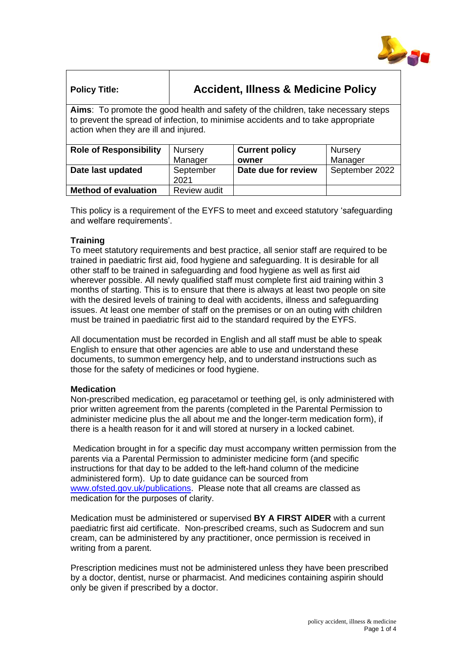

| <b>Policy Title:</b>                                                                                                                                                                                            | <b>Accident, Illness &amp; Medicine Policy</b> |                       |                |
|-----------------------------------------------------------------------------------------------------------------------------------------------------------------------------------------------------------------|------------------------------------------------|-----------------------|----------------|
| Aims: To promote the good health and safety of the children, take necessary steps<br>to prevent the spread of infection, to minimise accidents and to take appropriate<br>action when they are ill and injured. |                                                |                       |                |
| <b>Role of Responsibility</b>                                                                                                                                                                                   | <b>Nursery</b>                                 | <b>Current policy</b> | Nursery        |
|                                                                                                                                                                                                                 | Manager                                        | owner                 | Manager        |
| Date last updated                                                                                                                                                                                               | September<br>2021                              | Date due for review   | September 2022 |

This policy is a requirement of the EYFS to meet and exceed statutory 'safeguarding and welfare requirements'.

## **Training**

**Method of evaluation** Review audit

To meet statutory requirements and best practice, all senior staff are required to be trained in paediatric first aid, food hygiene and safeguarding. It is desirable for all other staff to be trained in safeguarding and food hygiene as well as first aid wherever possible. All newly qualified staff must complete first aid training within 3 months of starting. This is to ensure that there is always at least two people on site with the desired levels of training to deal with accidents, illness and safeguarding issues. At least one member of staff on the premises or on an outing with children must be trained in paediatric first aid to the standard required by the EYFS.

All documentation must be recorded in English and all staff must be able to speak English to ensure that other agencies are able to use and understand these documents, to summon emergency help, and to understand instructions such as those for the safety of medicines or food hygiene.

### **Medication**

Non-prescribed medication, eg paracetamol or teething gel, is only administered with prior written agreement from the parents (completed in the Parental Permission to administer medicine plus the all about me and the longer-term medication form), if there is a health reason for it and will stored at nursery in a locked cabinet.

Medication brought in for a specific day must accompany written permission from the parents via a Parental Permission to administer medicine form (and specific instructions for that day to be added to the left-hand column of the medicine administered form). Up to date guidance can be sourced from [www.ofsted.gov.uk/publications.](http://www.ofsted.gov.uk/publications) Please note that all creams are classed as medication for the purposes of clarity.

Medication must be administered or supervised **BY A FIRST AIDER** with a current paediatric first aid certificate. Non-prescribed creams, such as Sudocrem and sun cream, can be administered by any practitioner, once permission is received in writing from a parent.

Prescription medicines must not be administered unless they have been prescribed by a doctor, dentist, nurse or pharmacist. And medicines containing aspirin should only be given if prescribed by a doctor.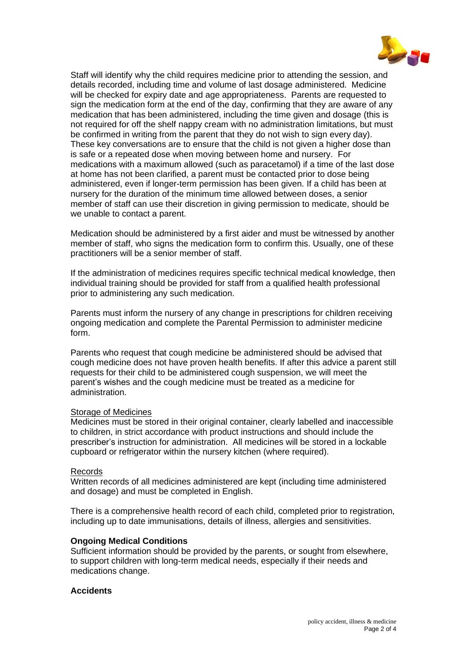

Staff will identify why the child requires medicine prior to attending the session, and details recorded, including time and volume of last dosage administered. Medicine will be checked for expiry date and age appropriateness. Parents are requested to sign the medication form at the end of the day, confirming that they are aware of any medication that has been administered, including the time given and dosage (this is not required for off the shelf nappy cream with no administration limitations, but must be confirmed in writing from the parent that they do not wish to sign every day). These key conversations are to ensure that the child is not given a higher dose than is safe or a repeated dose when moving between home and nursery. For medications with a maximum allowed (such as paracetamol) if a time of the last dose at home has not been clarified, a parent must be contacted prior to dose being administered, even if longer-term permission has been given. If a child has been at nursery for the duration of the minimum time allowed between doses, a senior member of staff can use their discretion in giving permission to medicate, should be we unable to contact a parent.

Medication should be administered by a first aider and must be witnessed by another member of staff, who signs the medication form to confirm this. Usually, one of these practitioners will be a senior member of staff.

If the administration of medicines requires specific technical medical knowledge, then individual training should be provided for staff from a qualified health professional prior to administering any such medication.

Parents must inform the nursery of any change in prescriptions for children receiving ongoing medication and complete the Parental Permission to administer medicine form.

Parents who request that cough medicine be administered should be advised that cough medicine does not have proven health benefits. If after this advice a parent still requests for their child to be administered cough suspension, we will meet the parent's wishes and the cough medicine must be treated as a medicine for administration.

### Storage of Medicines

Medicines must be stored in their original container, clearly labelled and inaccessible to children, in strict accordance with product instructions and should include the prescriber's instruction for administration. All medicines will be stored in a lockable cupboard or refrigerator within the nursery kitchen (where required).

#### Records

Written records of all medicines administered are kept (including time administered and dosage) and must be completed in English.

There is a comprehensive health record of each child, completed prior to registration, including up to date immunisations, details of illness, allergies and sensitivities.

#### **Ongoing Medical Conditions**

Sufficient information should be provided by the parents, or sought from elsewhere, to support children with long-term medical needs, especially if their needs and medications change.

### **Accidents**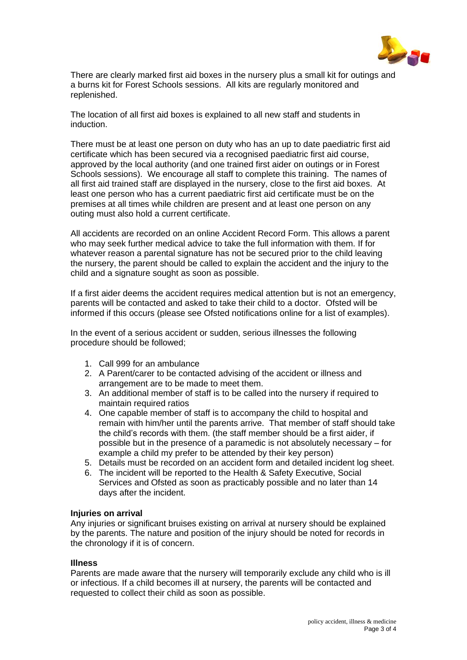

There are clearly marked first aid boxes in the nursery plus a small kit for outings and a burns kit for Forest Schools sessions. All kits are regularly monitored and replenished.

The location of all first aid boxes is explained to all new staff and students in induction.

There must be at least one person on duty who has an up to date paediatric first aid certificate which has been secured via a recognised paediatric first aid course, approved by the local authority (and one trained first aider on outings or in Forest Schools sessions). We encourage all staff to complete this training. The names of all first aid trained staff are displayed in the nursery, close to the first aid boxes. At least one person who has a current paediatric first aid certificate must be on the premises at all times while children are present and at least one person on any outing must also hold a current certificate.

All accidents are recorded on an online Accident Record Form. This allows a parent who may seek further medical advice to take the full information with them. If for whatever reason a parental signature has not be secured prior to the child leaving the nursery, the parent should be called to explain the accident and the injury to the child and a signature sought as soon as possible.

If a first aider deems the accident requires medical attention but is not an emergency, parents will be contacted and asked to take their child to a doctor. Ofsted will be informed if this occurs (please see Ofsted notifications online for a list of examples).

In the event of a serious accident or sudden, serious illnesses the following procedure should be followed;

- 1. Call 999 for an ambulance
- 2. A Parent/carer to be contacted advising of the accident or illness and arrangement are to be made to meet them.
- 3. An additional member of staff is to be called into the nursery if required to maintain required ratios
- 4. One capable member of staff is to accompany the child to hospital and remain with him/her until the parents arrive. That member of staff should take the child's records with them. (the staff member should be a first aider, if possible but in the presence of a paramedic is not absolutely necessary – for example a child my prefer to be attended by their key person)
- 5. Details must be recorded on an accident form and detailed incident log sheet.
- 6. The incident will be reported to the Health & Safety Executive, Social Services and Ofsted as soon as practicably possible and no later than 14 days after the incident.

### **Injuries on arrival**

Any injuries or significant bruises existing on arrival at nursery should be explained by the parents. The nature and position of the injury should be noted for records in the chronology if it is of concern.

# **Illness**

Parents are made aware that the nursery will temporarily exclude any child who is ill or infectious. If a child becomes ill at nursery, the parents will be contacted and requested to collect their child as soon as possible.